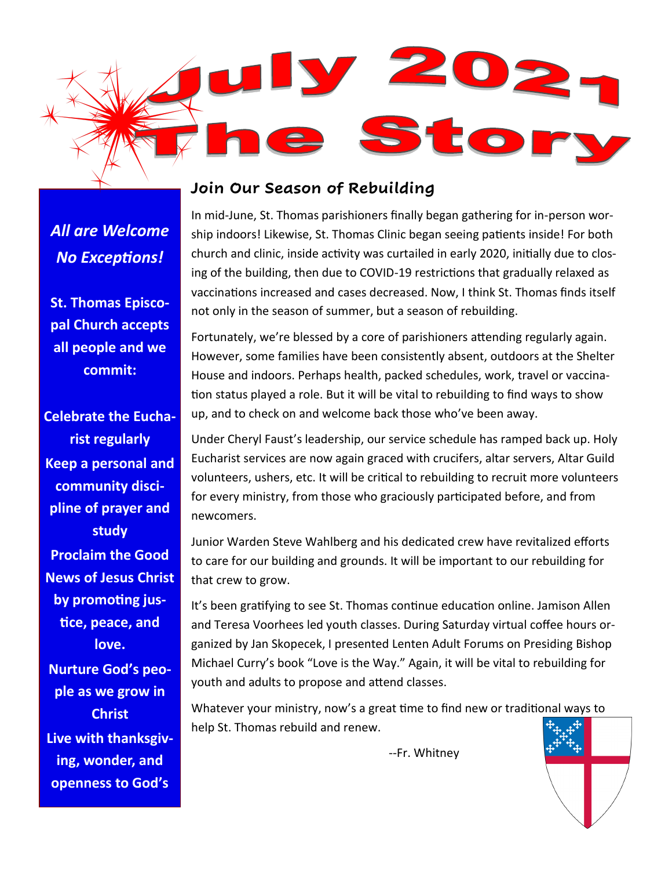

## *All are Welcome No Exceptions!*

**St. Thomas Episcopal Church accepts all people and we commit:**

**Celebrate the Eucharist regularly Keep a personal and community discipline of prayer and study Proclaim the Good News of Jesus Christ by promoting justice, peace, and love. Nurture God's people as we grow in Christ Live with thanksgiving, wonder, and** 

**openness to God's** 

**Join Our Season of Rebuilding**

In mid-June, St. Thomas parishioners finally began gathering for in-person worship indoors! Likewise, St. Thomas Clinic began seeing patients inside! For both church and clinic, inside activity was curtailed in early 2020, initially due to closing of the building, then due to COVID-19 restrictions that gradually relaxed as vaccinations increased and cases decreased. Now, I think St. Thomas finds itself not only in the season of summer, but a season of rebuilding.

Fortunately, we're blessed by a core of parishioners attending regularly again. However, some families have been consistently absent, outdoors at the Shelter House and indoors. Perhaps health, packed schedules, work, travel or vaccination status played a role. But it will be vital to rebuilding to find ways to show up, and to check on and welcome back those who've been away.

Under Cheryl Faust's leadership, our service schedule has ramped back up. Holy Eucharist services are now again graced with crucifers, altar servers, Altar Guild volunteers, ushers, etc. It will be critical to rebuilding to recruit more volunteers for every ministry, from those who graciously participated before, and from newcomers.

Junior Warden Steve Wahlberg and his dedicated crew have revitalized efforts to care for our building and grounds. It will be important to our rebuilding for that crew to grow.

It's been gratifying to see St. Thomas continue education online. Jamison Allen and Teresa Voorhees led youth classes. During Saturday virtual coffee hours organized by Jan Skopecek, I presented Lenten Adult Forums on Presiding Bishop Michael Curry's book "Love is the Way." Again, it will be vital to rebuilding for youth and adults to propose and attend classes.

Whatever your ministry, now's a great time to find new or traditional ways to help St. Thomas rebuild and renew.

--Fr. Whitney

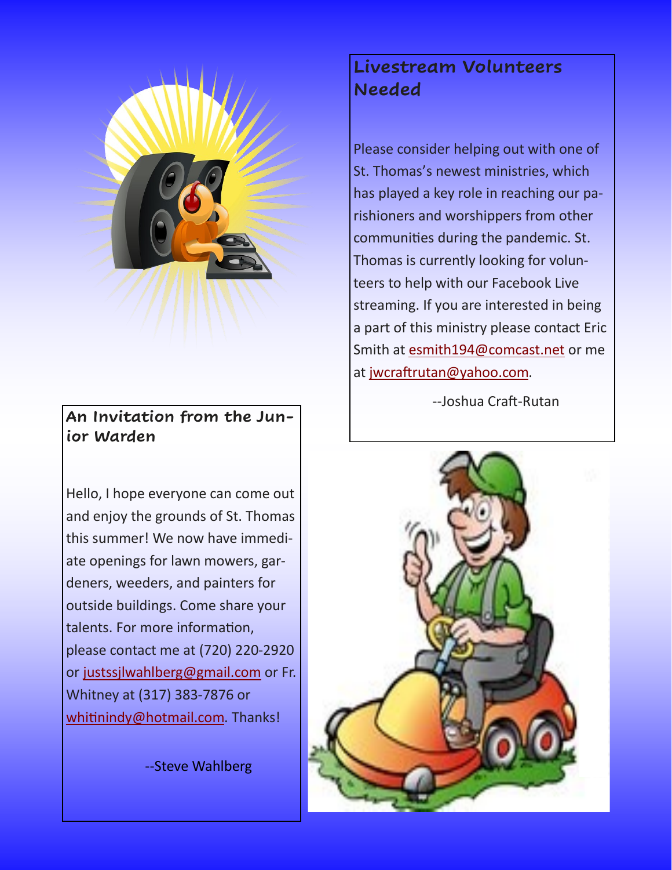

**An Invitation from the Junior Warden**

Hello, I hope everyone can come out and enjoy the grounds of St. Thomas this summer! We now have immediate openings for lawn mowers, gardeners, weeders, and painters for outside buildings. Come share your talents. For more information, please contact me at (720) 220-2920 or [justssjlwahlberg@gmail.com](mailto:justssjlwahlberg@gmail.com) or Fr. Whitney at (317) 383-7876 or [whitinindy@hotmail.com.](mailto:whitinindy@hotmail.com) Thanks!

--Steve Wahlberg

## **Livestream Volunteers Needed**

Please consider helping out with one of St. Thomas's newest ministries, which has played a key role in reaching our parishioners and worshippers from other communities during the pandemic. St. Thomas is currently looking for volunteers to help with our Facebook Live streaming. If you are interested in being a part of this ministry please contact Eric Smith at [esmith194@comcast.net](mailto:esmith194@comcast.net) or me at [jwcraftrutan@yahoo.com.](mailto:jwcraftrutan@yahoo.com)

--Joshua Craft-Rutan

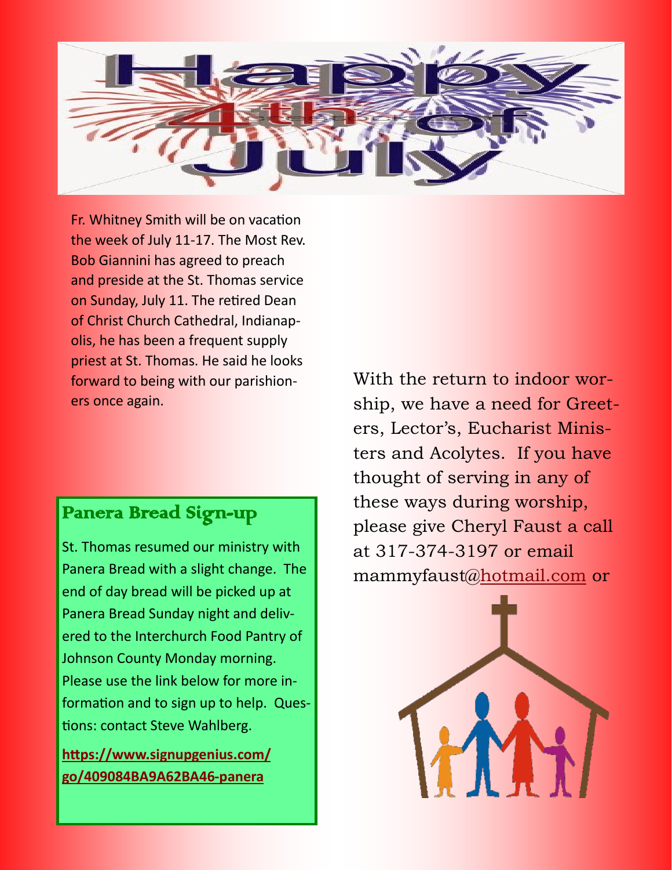

Fr. Whitney Smith will be on vacation the week of July 11-17. The Most Rev. Bob Giannini has agreed to preach and preside at the St. Thomas service on Sunday, July 11. The retired Dean of Christ Church Cathedral, Indianapolis, he has been a frequent supply priest at St. Thomas. He said he looks forward to being with our parishioners once again.

## Panera Bread Sign-up

St. Thomas resumed our ministry with Panera Bread with a slight change. The end of day bread will be picked up at Panera Bread Sunday night and delivered to the Interchurch Food Pantry of Johnson County Monday morning. Please use the link below for more information and to sign up to help. Questions: contact Steve Wahlberg.

**[https://www.signupgenius.com/](https://www.signupgenius.com/go/409084BA9A62BA46-panera) [go/409084BA9A62BA46](https://www.signupgenius.com/go/409084BA9A62BA46-panera)-panera**

With the return to indoor worship, we have a need for Greeters, Lector's, Eucharist Ministers and Acolytes. If you have thought of serving in any of these ways during worship, please give Cheryl Faust a call at 317-374-3197 or email mammyfaust@[hotmail.com](https://na01.safelinks.protection.outlook.com/?url=http%3A%2F%2Fhotmail.com%2F&data=04%7C01%7C%7Cb46c69a460ad4f24595108d91faf41af%7C84df9e7fe9f640afb435aaaaaaaaaaaa%7C1%7C0%7C637575659845180763%7CUnknown%7CTWFpbGZsb3d8eyJWIjoiMC4wLjAwMDAiLCJQIjoiV2luMzIiLCJBT) or

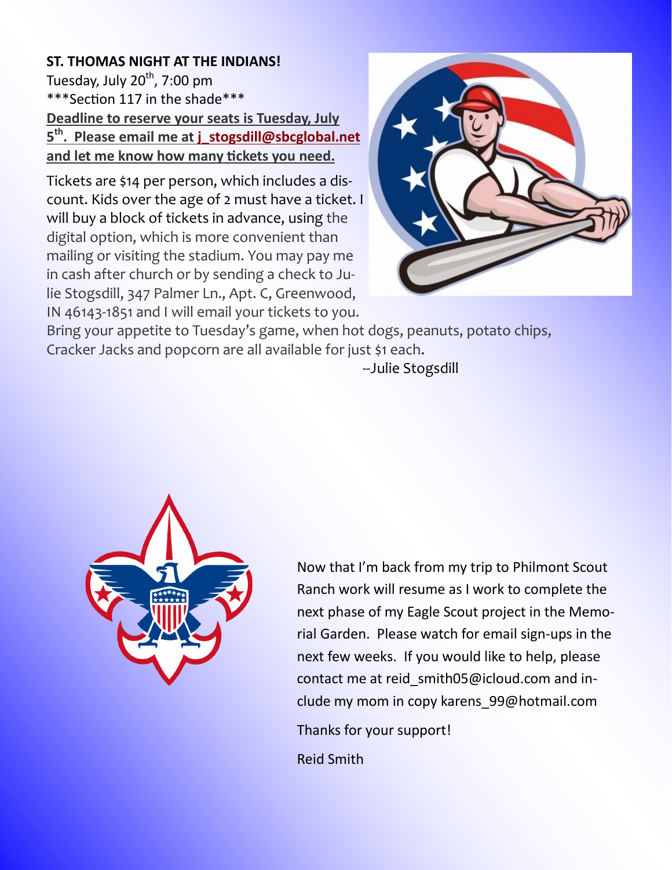### **ST. THOMAS NIGHT AT THE INDIANS!**  Tuesday, July  $20^{th}$ , 7:00 pm \*\*\*Section 117 in the shade\*\*\* **Deadline to reserve your seats is Tuesday, July 5 th . Please email me at [j\\_stogsdill@sbcglobal.net](mailto:j_stogsdill@sbcglobal.net) and let me know how many tickets you need.**

Tickets are \$14 per person, which includes a discount. Kids over the age of 2 must have a ticket. I will buy a block of tickets in advance, using the digital option, which is more convenient than mailing or visiting the stadium. You may pay me in cash after church or by sending a check to Julie Stogsdill, 347 Palmer Ln., Apt. C, Greenwood, IN 46143-1851 and I will email your tickets to you.



Bring your appetite to Tuesday's game, when hot dogs, peanuts, potato chips, Cracker Jacks and popcorn are all available for just \$1 each.

--Julie Stogsdill



Now that I'm back from my trip to Philmont Scout Ranch work will resume as I work to complete the next phase of my Eagle Scout project in the Memorial Garden. Please watch for email sign-ups in the next few weeks. If you would like to help, please contact me at reid\_smith05@icloud.com and include my mom in copy karens\_99@hotmail.com

Thanks for your support!

Reid Smith